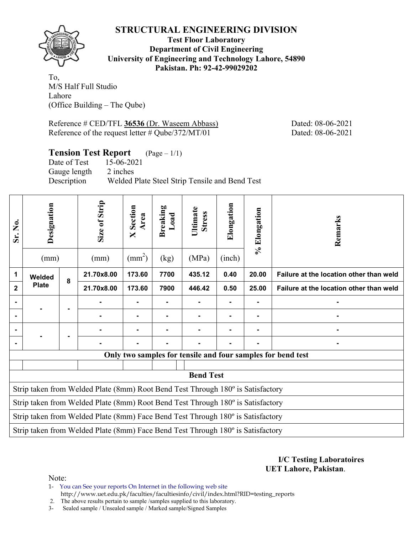

**Test Floor Laboratory Department of Civil Engineering University of Engineering and Technology Lahore, 54890 Pakistan. Ph: 92-42-99029202** 

To, M/S Half Full Studio Lahore (Office Building – The Qube)

Reference # CED/TFL **36536** (Dr. Waseem Abbass) Dated: 08-06-2021 Reference of the request letter # Qube/372/MT/01 Dated: 08-06-2021

## **Tension Test Report** (Page – 1/1)

Date of Test 15-06-2021 Gauge length 2 inches Description Welded Plate Steel Strip Tensile and Bend Test

| Sr. No.        | Designation<br>(mm)                                                             |   | Size of Strip<br>(mm)                                                           | Section<br>Area<br>$\overline{\mathsf{X}}$<br>$\text{(mm}^2)$ | <b>Breaking</b><br>Load<br>(kg) | Ultimate<br><b>Stress</b><br>(MPa) | Elongation<br>(inch) | % Elongation | Remarks                                                     |  |  |
|----------------|---------------------------------------------------------------------------------|---|---------------------------------------------------------------------------------|---------------------------------------------------------------|---------------------------------|------------------------------------|----------------------|--------------|-------------------------------------------------------------|--|--|
| 1              | Welded                                                                          | 8 | 21.70x8.00                                                                      | 173.60                                                        | 7700                            | 435.12                             | 0.40                 | 20.00        | Failure at the location other than weld                     |  |  |
| $\overline{2}$ | <b>Plate</b>                                                                    |   | 21.70x8.00                                                                      | 173.60                                                        | 7900                            | 446.42                             | 0.50                 | 25.00        | Failure at the location other than weld                     |  |  |
| $\blacksquare$ |                                                                                 |   |                                                                                 |                                                               |                                 |                                    | ۰                    |              |                                                             |  |  |
|                |                                                                                 |   |                                                                                 |                                                               |                                 |                                    |                      |              |                                                             |  |  |
|                |                                                                                 |   |                                                                                 |                                                               |                                 |                                    |                      |              |                                                             |  |  |
|                |                                                                                 |   |                                                                                 |                                                               |                                 |                                    |                      |              |                                                             |  |  |
|                |                                                                                 |   |                                                                                 |                                                               |                                 |                                    |                      |              | Only two samples for tensile and four samples for bend test |  |  |
|                |                                                                                 |   |                                                                                 |                                                               |                                 |                                    |                      |              |                                                             |  |  |
|                |                                                                                 |   |                                                                                 |                                                               |                                 | <b>Bend Test</b>                   |                      |              |                                                             |  |  |
|                |                                                                                 |   | Strip taken from Welded Plate (8mm) Root Bend Test Through 180° is Satisfactory |                                                               |                                 |                                    |                      |              |                                                             |  |  |
|                | Strip taken from Welded Plate (8mm) Root Bend Test Through 180° is Satisfactory |   |                                                                                 |                                                               |                                 |                                    |                      |              |                                                             |  |  |
|                | Strip taken from Welded Plate (8mm) Face Bend Test Through 180° is Satisfactory |   |                                                                                 |                                                               |                                 |                                    |                      |              |                                                             |  |  |
|                |                                                                                 |   | Strip taken from Welded Plate (8mm) Face Bend Test Through 180° is Satisfactory |                                                               |                                 |                                    |                      |              |                                                             |  |  |

**I/C Testing Laboratoires UET Lahore, Pakistan**.

Note:

1- You can See your reports On Internet in the following web site http://www.uet.edu.pk/faculties/facultiesinfo/civil/index.html?RID=testing\_reports

2. The above results pertain to sample /samples supplied to this laboratory.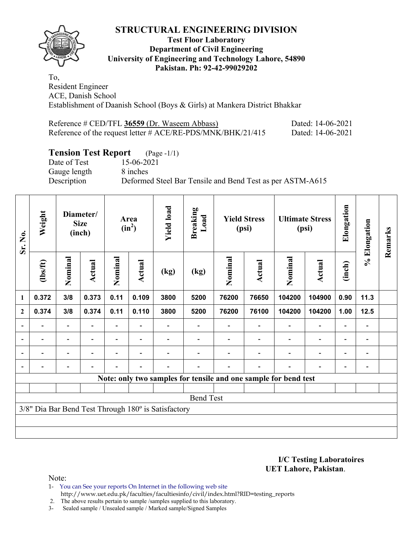

#### **Test Floor Laboratory Department of Civil Engineering University of Engineering and Technology Lahore, 54890 Pakistan. Ph: 92-42-99029202**

To, Resident Engineer ACE, Danish School Establishment of Daanish School (Boys & Girls) at Mankera District Bhakkar

| Reference # CED/TFL 36559 (Dr. Waseem Abbass)                  | Dated: 14-06-2021 |
|----------------------------------------------------------------|-------------------|
| Reference of the request letter $\#$ ACE/RE-PDS/MNK/BHK/21/415 | Dated: 14-06-2021 |

# **Tension Test Report** (Page -1/1)

Gauge length 8 inches

Date of Test 15-06-2021 Description Deformed Steel Bar Tensile and Bend Test as per ASTM-A615

| Sr. No.        | Weight                   |                          | Diameter/<br><b>Size</b><br>(inch) |         | Area<br>$(in^2)$         | <b>Yield load</b>                                   | <b>Breaking</b><br>Load |         | <b>Yield Stress</b><br>(psi) |                                                                 | <b>Ultimate Stress</b><br>(psi) | Elongation               | % Elongation                 | Remarks |
|----------------|--------------------------|--------------------------|------------------------------------|---------|--------------------------|-----------------------------------------------------|-------------------------|---------|------------------------------|-----------------------------------------------------------------|---------------------------------|--------------------------|------------------------------|---------|
|                | (1bs/ft)                 | Nominal                  | <b>Actual</b>                      | Nominal | Actual                   | (kg)                                                | (kg)                    | Nominal | Actual                       | Nominal                                                         | Actual                          | (inch)                   |                              |         |
| $\mathbf{1}$   | 0.372                    | 3/8                      | 0.373                              | 0.11    | 0.109                    | 3800                                                | 5200                    | 76200   | 76650                        | 104200                                                          | 104900                          | 0.90                     | 11.3                         |         |
| $\mathbf{2}$   | 0.374                    | 3/8                      | 0.374                              | 0.11    | 0.110                    | 3800                                                | 5200                    | 76200   | 76100                        | 104200                                                          | 104200                          | 1.00                     | 12.5                         |         |
| $\overline{a}$ |                          | $\overline{\phantom{0}}$ |                                    |         |                          |                                                     |                         |         |                              |                                                                 |                                 |                          | $\qquad \qquad \blacksquare$ |         |
| $\blacksquare$ | $\overline{\phantom{a}}$ | $\overline{\phantom{0}}$ |                                    | Ξ.      | $\overline{\phantom{a}}$ |                                                     |                         |         |                              |                                                                 | $\overline{\phantom{0}}$        | $\blacksquare$           | $\qquad \qquad \blacksquare$ |         |
| $\blacksquare$ | $\overline{\phantom{0}}$ | $\overline{\phantom{0}}$ | $\blacksquare$                     | -       | $\overline{\phantom{a}}$ |                                                     |                         |         |                              |                                                                 | $\overline{\phantom{0}}$        | $\overline{\phantom{0}}$ | $\qquad \qquad \blacksquare$ |         |
|                |                          |                          |                                    |         | $\overline{\phantom{0}}$ |                                                     |                         |         |                              |                                                                 |                                 |                          |                              |         |
|                |                          |                          |                                    |         |                          |                                                     |                         |         |                              | Note: only two samples for tensile and one sample for bend test |                                 |                          |                              |         |
|                |                          |                          |                                    |         |                          |                                                     |                         |         |                              |                                                                 |                                 |                          |                              |         |
|                |                          |                          |                                    |         |                          |                                                     | <b>Bend Test</b>        |         |                              |                                                                 |                                 |                          |                              |         |
|                |                          |                          |                                    |         |                          | 3/8" Dia Bar Bend Test Through 180° is Satisfactory |                         |         |                              |                                                                 |                                 |                          |                              |         |
|                |                          |                          |                                    |         |                          |                                                     |                         |         |                              |                                                                 |                                 |                          |                              |         |
|                |                          |                          |                                    |         |                          |                                                     |                         |         |                              |                                                                 |                                 |                          |                              |         |

**I/C Testing Laboratoires UET Lahore, Pakistan**.

Note:

1- You can See your reports On Internet in the following web site http://www.uet.edu.pk/faculties/facultiesinfo/civil/index.html?RID=testing\_reports

2. The above results pertain to sample /samples supplied to this laboratory.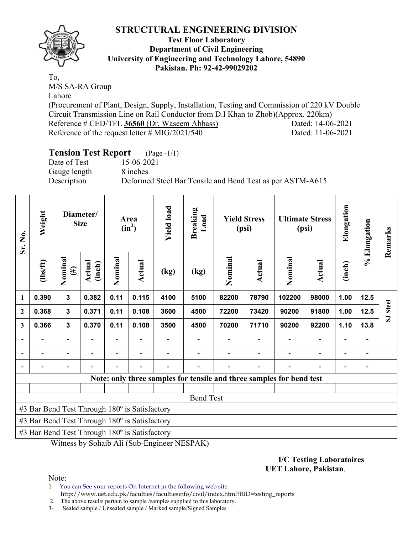



#### **Test Floor Laboratory Department of Civil Engineering University of Engineering and Technology Lahore, 54890 Pakistan. Ph: 92-42-99029202**

To, M/S SA-RA Group Lahore

(Procurement of Plant, Design, Supply, Installation, Testing and Commission of 220 kV Double Circuit Transmission Line on Rail Conductor from D.I Khan to Zhob)(Approx. 220km) Reference # CED/TFL **36560** (Dr. Waseem Abbass) Dated: 14-06-2021 Reference of the request letter # MIG/2021/540 Dated: 11-06-2021

# **Tension Test Report** (Page -1/1)

Date of Test 15-06-2021 Gauge length 8 inches

Description Deformed Steel Bar Tensile and Bend Test as per ASTM-A615

| Sr. No.      | Weight                                        |                   | Diameter/<br><b>Size</b> |         | Area<br>$(in^2)$ | <b>Yield load</b> | <b>Breaking</b><br>Load |         | <b>Yield Stress</b><br>(psi) |                                                                      | <b>Ultimate Stress</b><br>(psi) | Elongation | % Elongation | Remarks                                 |
|--------------|-----------------------------------------------|-------------------|--------------------------|---------|------------------|-------------------|-------------------------|---------|------------------------------|----------------------------------------------------------------------|---------------------------------|------------|--------------|-----------------------------------------|
|              | $lbsft$                                       | Nominal<br>$(\#)$ | Actual<br>(inch)         | Nominal | <b>Actual</b>    | (kg)              | (kg)                    | Nominal | <b>Actual</b>                | Nominal                                                              | <b>Actual</b>                   | (inch)     |              |                                         |
| 1            | 0.390                                         | $\mathbf{3}$      | 0.382                    | 0.11    | 0.115            | 4100              | 5100                    | 82200   | 78790                        | 102200                                                               | 98000                           | 1.00       | $12.5$       |                                         |
| $\mathbf{2}$ | 0.368                                         | $\mathbf{3}$      | 0.371                    | 0.11    | 0.108            | 3600              | 4500                    | 72200   | 73420                        | 90200                                                                | 91800                           | 1.00       | 12.5         | <b>Steel</b><br>$\overline{\mathbf{s}}$ |
| 3            | 0.366                                         | $\mathbf{3}$      | 0.370                    | 0.11    | 0.108            | 3500              | 4500                    | 70200   | 71710                        | 90200                                                                | 92200                           | 1.10       | 13.8         |                                         |
|              |                                               |                   |                          |         |                  |                   |                         |         |                              |                                                                      |                                 |            |              |                                         |
|              |                                               |                   |                          |         |                  |                   |                         |         |                              |                                                                      |                                 |            |              |                                         |
|              |                                               | -                 |                          |         |                  |                   |                         |         |                              |                                                                      |                                 |            |              |                                         |
|              |                                               |                   |                          |         |                  |                   |                         |         |                              | Note: only three samples for tensile and three samples for bend test |                                 |            |              |                                         |
|              |                                               |                   |                          |         |                  |                   |                         |         |                              |                                                                      |                                 |            |              |                                         |
|              |                                               |                   |                          |         |                  |                   | <b>Bend Test</b>        |         |                              |                                                                      |                                 |            |              |                                         |
|              | #3 Bar Bend Test Through 180° is Satisfactory |                   |                          |         |                  |                   |                         |         |                              |                                                                      |                                 |            |              |                                         |
|              | #3 Bar Bend Test Through 180° is Satisfactory |                   |                          |         |                  |                   |                         |         |                              |                                                                      |                                 |            |              |                                         |
|              | #3 Bar Bend Test Through 180° is Satisfactory |                   |                          |         |                  |                   |                         |         |                              |                                                                      |                                 |            |              |                                         |

Witness by Sohaib Ali (Sub-Engineer NESPAK)

#### **I/C Testing Laboratoires UET Lahore, Pakistan**.

Note:

1- You can See your reports On Internet in the following web site http://www.uet.edu.pk/faculties/facultiesinfo/civil/index.html?RID=testing\_reports

2. The above results pertain to sample /samples supplied to this laboratory.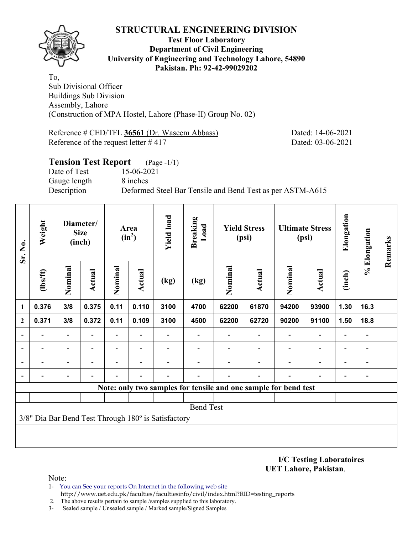

#### **Test Floor Laboratory Department of Civil Engineering University of Engineering and Technology Lahore, 54890 Pakistan. Ph: 92-42-99029202**

To, Sub Divisional Officer Buildings Sub Division Assembly, Lahore (Construction of MPA Hostel, Lahore (Phase-II) Group No. 02)

Reference # CED/TFL 36561 (Dr. Waseem Abbass) Dated: 14-06-2021 Reference of the request letter # 417 Dated: 03-06-2021

## **Tension Test Report** (Page -1/1) Date of Test 15-06-2021 Gauge length 8 inches Description Deformed Steel Bar Tensile and Bend Test as per ASTM-A615

| Sr. No.      | Weight                   |                          | Diameter/<br><b>Size</b><br>(inch) |                          | Area<br>$(in^2)$ | <b>Yield load</b>                                   | <b>Breaking</b><br>Load |         | <b>Yield Stress</b><br>(psi)                                    |                | <b>Ultimate Stress</b><br>(psi) | Elongation               | % Elongation                 | Remarks |
|--------------|--------------------------|--------------------------|------------------------------------|--------------------------|------------------|-----------------------------------------------------|-------------------------|---------|-----------------------------------------------------------------|----------------|---------------------------------|--------------------------|------------------------------|---------|
|              | $\frac{2}{10}$           | Nominal                  | <b>Actual</b>                      | Nominal                  | Actual           | (kg)                                                | (kg)                    | Nominal | <b>Actual</b>                                                   | Nominal        | <b>Actual</b>                   | (inch)                   |                              |         |
| 1            | 0.376                    | 3/8                      | 0.375                              | 0.11                     | 0.110            | 3100                                                | 4700                    | 62200   | 61870                                                           | 94200          | 93900                           | 1.30                     | 16.3                         |         |
| $\mathbf{2}$ | 0.371                    | 3/8                      | 0.372                              | 0.11                     | 0.109            | 3100                                                | 4500                    | 62200   | 62720                                                           | 90200          | 91100                           | 1.50                     | 18.8                         |         |
|              | $\overline{\phantom{0}}$ | $\overline{\phantom{a}}$ |                                    | Ξ.                       |                  |                                                     |                         |         |                                                                 |                | $\overline{a}$                  | $\overline{a}$           |                              |         |
|              | $\overline{\phantom{0}}$ | $\overline{\phantom{a}}$ | $\overline{\phantom{0}}$           | $\overline{\phantom{0}}$ | $\blacksquare$   |                                                     |                         |         | -                                                               | $\overline{a}$ | $\qquad \qquad \blacksquare$    | $\overline{\phantom{a}}$ | $\blacksquare$               |         |
|              |                          |                          |                                    |                          |                  |                                                     |                         |         |                                                                 |                | $\overline{\phantom{0}}$        | $\overline{\phantom{0}}$ | $\qquad \qquad \blacksquare$ |         |
|              |                          |                          |                                    |                          |                  |                                                     |                         |         |                                                                 |                |                                 | -                        |                              |         |
|              |                          |                          |                                    |                          |                  |                                                     |                         |         | Note: only two samples for tensile and one sample for bend test |                |                                 |                          |                              |         |
|              |                          |                          |                                    |                          |                  |                                                     |                         |         |                                                                 |                |                                 |                          |                              |         |
|              |                          |                          |                                    |                          |                  |                                                     | <b>Bend Test</b>        |         |                                                                 |                |                                 |                          |                              |         |
|              |                          |                          |                                    |                          |                  | 3/8" Dia Bar Bend Test Through 180° is Satisfactory |                         |         |                                                                 |                |                                 |                          |                              |         |
|              |                          |                          |                                    |                          |                  |                                                     |                         |         |                                                                 |                |                                 |                          |                              |         |
|              |                          |                          |                                    |                          |                  |                                                     |                         |         |                                                                 |                |                                 |                          |                              |         |

**I/C Testing Laboratoires UET Lahore, Pakistan**.

Note:

- 1- You can See your reports On Internet in the following web site http://www.uet.edu.pk/faculties/facultiesinfo/civil/index.html?RID=testing\_reports
- 2. The above results pertain to sample /samples supplied to this laboratory.
- 3- Sealed sample / Unsealed sample / Marked sample/Signed Samples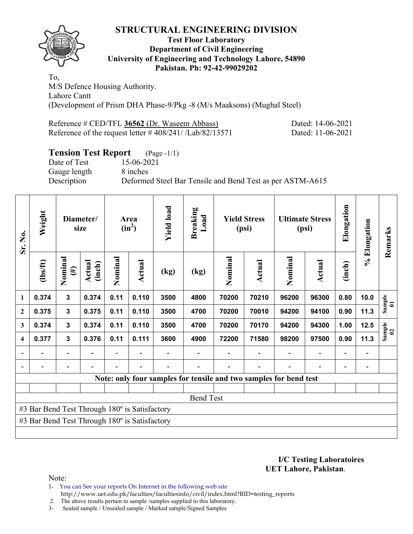

#### **Test Floor Laboratory Department of Civil Engineering University of Engineering and Technology Lahore, 54890 Pakistan. Ph: 92-42-99029202**

To, M/S Defence Housing Authority. Lahore Cantt (Development of Prism DHA Phase-9/Pkg -8 (M/s Maaksons) (Mughal Steel)

| Reference # CED/TFL 36562 (Dr. Waseem Abbass)                 |  |
|---------------------------------------------------------------|--|
| Reference of the request letter $\# 408/241 / [Lab/82/13571]$ |  |

Dated: 14-06-2021 Dated: 11-06-2021

# **Tension Test Report** (Page -1/1)

Date of Test 15-06-2021 Gauge length 8 inches

Description Deformed Steel Bar Tensile and Bend Test as per ASTM-A615

| Sr. No.                 | Weight                                        |                          | Diameter/<br>size |         | Area<br>$(in^2)$ | <b>Yield load</b> | <b>Breaking</b><br>Load |         | <b>Yield Stress</b><br>(psi) |                                                                   | <b>Ultimate Stress</b><br>(psi) | Elongation               | % Elongation | Remarks                                                   |
|-------------------------|-----------------------------------------------|--------------------------|-------------------|---------|------------------|-------------------|-------------------------|---------|------------------------------|-------------------------------------------------------------------|---------------------------------|--------------------------|--------------|-----------------------------------------------------------|
|                         | (1bs/ft)                                      | Nominal<br>$(\#)$        | Actual<br>(inch)  | Nominal | <b>Actual</b>    | (kg)              | (kg)                    | Nominal | Actual                       | Nominal                                                           | Actual                          | (inch)                   |              |                                                           |
| 1                       | 0.374                                         | $\overline{\mathbf{3}}$  | 0.374             | 0.11    | 0.110            | 3500              | 4800                    | 70200   | 70210                        | 96200                                                             | 96300                           | 0.80                     | 10.0         | $\begin{array}{c} \text{Sample} \\ \text{01} \end{array}$ |
| $\mathbf{2}$            | 0.375                                         | 3                        | 0.375             | 0.11    | 0.110            | 3500              | 4700                    | 70200   | 70010                        | 94200                                                             | 94100                           | 0.90                     | 11.3         |                                                           |
| $\mathbf{3}$            | 0.374                                         | $\overline{\mathbf{3}}$  | 0.374             | 0.11    | 0.110            | 3500              | 4700                    | 70200   | 70170                        | 94200                                                             | 94300                           | 1.00                     | 12.5         | $\begin{array}{c} \text{Sample} \\ 02 \end{array}$        |
| $\overline{\mathbf{4}}$ | 0.377                                         | 3                        | 0.376             | 0.11    | 0.111            | 3600              | 4900                    | 72200   | 71580                        | 98200                                                             | 97500                           | 0.90                     | 11.3         |                                                           |
|                         |                                               | $\overline{\phantom{0}}$ |                   |         |                  |                   |                         |         |                              |                                                                   |                                 | $\overline{\phantom{0}}$ |              |                                                           |
|                         |                                               | $\overline{\phantom{0}}$ |                   |         |                  |                   |                         |         |                              |                                                                   |                                 | ۰                        |              |                                                           |
|                         |                                               |                          |                   |         |                  |                   |                         |         |                              | Note: only four samples for tensile and two samples for bend test |                                 |                          |              |                                                           |
|                         |                                               |                          |                   |         |                  |                   |                         |         |                              |                                                                   |                                 |                          |              |                                                           |
|                         |                                               |                          |                   |         |                  |                   | <b>Bend Test</b>        |         |                              |                                                                   |                                 |                          |              |                                                           |
|                         | #3 Bar Bend Test Through 180° is Satisfactory |                          |                   |         |                  |                   |                         |         |                              |                                                                   |                                 |                          |              |                                                           |
|                         | #3 Bar Bend Test Through 180° is Satisfactory |                          |                   |         |                  |                   |                         |         |                              |                                                                   |                                 |                          |              |                                                           |
|                         |                                               |                          |                   |         |                  |                   |                         |         |                              |                                                                   |                                 |                          |              |                                                           |

**I/C Testing Laboratoires UET Lahore, Pakistan**.

Note:

1- You can See your reports On Internet in the following web site http://www.uet.edu.pk/faculties/facultiesinfo/civil/index.html?RID=testing\_reports

2. The above results pertain to sample /samples supplied to this laboratory.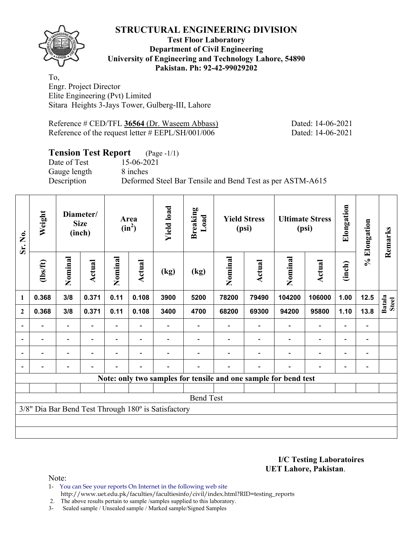**Test Floor Laboratory Department of Civil Engineering University of Engineering and Technology Lahore, 54890 Pakistan. Ph: 92-42-99029202** 

To, Engr. Project Director Elite Engineering (Pvt) Limited Sitara Heights 3-Jays Tower, Gulberg-III, Lahore

Reference # CED/TFL 36564 (Dr. Waseem Abbass) Dated: 14-06-2021 Reference of the request letter # EEPL/SH/001/006 Dated: 14-06-2021

# **Tension Test Report** (Page -1/1)

Date of Test 15-06-2021 Gauge length 8 inches

Description Deformed Steel Bar Tensile and Bend Test as per ASTM-A615

| Sr. No.        | Weight         |                          | Diameter/<br><b>Size</b><br>(inch) |                | Area<br>$(in^2)$         | <b>Yield load</b>                                   | <b>Breaking</b><br>Load                                         |         | <b>Yield Stress</b><br>(psi) |                | <b>Ultimate Stress</b><br>(psi) | Elongation               | % Elongation   | Remarks                       |
|----------------|----------------|--------------------------|------------------------------------|----------------|--------------------------|-----------------------------------------------------|-----------------------------------------------------------------|---------|------------------------------|----------------|---------------------------------|--------------------------|----------------|-------------------------------|
|                | $\frac{2}{10}$ | Nominal                  | Actual                             | Nominal        | Actual                   | (kg)                                                | (kg)                                                            | Nominal | <b>Actual</b>                | Nominal        | Actual                          | (inch)                   |                |                               |
| 1              | 0.368          | 3/8                      | 0.371                              | 0.11           | 0.108                    | 3900                                                | 5200                                                            | 78200   | 79490                        | 104200         | 106000                          | 1.00                     | 12.5           | <b>Batala</b><br><b>Steel</b> |
| $\mathbf{2}$   | 0.368          | 3/8                      | 0.371                              | 0.11           | 0.108                    | 3400                                                | 4700                                                            | 68200   | 69300                        | 94200          | 95800                           | 1.10                     | 13.8           |                               |
|                |                |                          |                                    |                |                          |                                                     |                                                                 |         |                              |                |                                 | $\overline{\phantom{0}}$ |                |                               |
| $\blacksquare$ | Ξ.             | $\overline{\phantom{a}}$ | $\overline{\phantom{a}}$           |                | $\overline{\phantom{a}}$ |                                                     |                                                                 |         | $\overline{\phantom{a}}$     | $\blacksquare$ | $\overline{\phantom{a}}$        | $\overline{\phantom{a}}$ | $\blacksquare$ |                               |
|                | $\blacksquare$ | $\overline{\phantom{0}}$ |                                    | $\blacksquare$ | $\overline{\phantom{0}}$ |                                                     |                                                                 |         |                              |                | $\overline{\phantom{a}}$        | $\overline{\phantom{0}}$ | $\blacksquare$ |                               |
|                |                | $\qquad \qquad -$        | $\overline{\phantom{0}}$           |                | $\blacksquare$           |                                                     |                                                                 |         | ٠                            |                | $\overline{\phantom{a}}$        | $\overline{\phantom{a}}$ | $\blacksquare$ |                               |
|                |                |                          |                                    |                |                          |                                                     | Note: only two samples for tensile and one sample for bend test |         |                              |                |                                 |                          |                |                               |
|                |                |                          |                                    |                |                          |                                                     |                                                                 |         |                              |                |                                 |                          |                |                               |
|                |                |                          |                                    |                |                          |                                                     | <b>Bend Test</b>                                                |         |                              |                |                                 |                          |                |                               |
|                |                |                          |                                    |                |                          | 3/8" Dia Bar Bend Test Through 180° is Satisfactory |                                                                 |         |                              |                |                                 |                          |                |                               |
|                |                |                          |                                    |                |                          |                                                     |                                                                 |         |                              |                |                                 |                          |                |                               |
|                |                |                          |                                    |                |                          |                                                     |                                                                 |         |                              |                |                                 |                          |                |                               |

**I/C Testing Laboratoires UET Lahore, Pakistan**.

Note:

1- You can See your reports On Internet in the following web site http://www.uet.edu.pk/faculties/facultiesinfo/civil/index.html?RID=testing\_reports

2. The above results pertain to sample /samples supplied to this laboratory.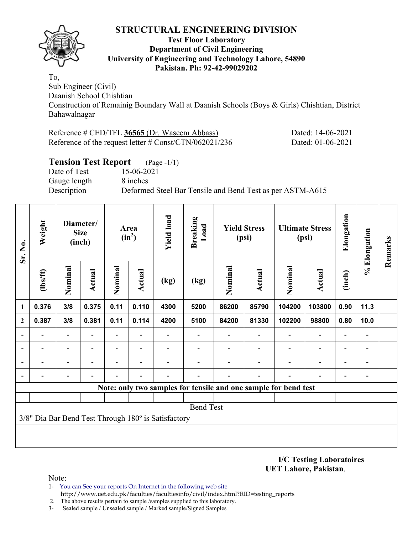

#### **Test Floor Laboratory Department of Civil Engineering University of Engineering and Technology Lahore, 54890 Pakistan. Ph: 92-42-99029202**

To,

Sub Engineer (Civil) Daanish School Chishtian Construction of Remainig Boundary Wall at Daanish Schools (Boys & Girls) Chishtian, District Bahawalnagar

| Reference # CED/TFL 36565 (Dr. Waseem Abbass)             |
|-----------------------------------------------------------|
| Reference of the request letter $\#$ Const/CTN/062021/236 |

Dated: 14-06-2021 Dated: 01-06-2021

## **Tension Test Report** (Page -1/1) Date of Test 15-06-2021 Gauge length 8 inches Description Deformed Steel Bar Tensile and Bend Test as per ASTM-A615

| Sr. No.      | Weight   |                          | Diameter/<br><b>Size</b><br>(inch) |                          | Area<br>$(in^2)$         | <b>Yield load</b>                                   | <b>Breaking</b><br>Load  |         | <b>Yield Stress</b><br>(psi) |                                                                 | <b>Ultimate Stress</b><br>(psi) | Elongation               | % Elongation             | Remarks |
|--------------|----------|--------------------------|------------------------------------|--------------------------|--------------------------|-----------------------------------------------------|--------------------------|---------|------------------------------|-----------------------------------------------------------------|---------------------------------|--------------------------|--------------------------|---------|
|              | (1bs/ft) | Nominal                  | Actual                             | Nominal                  | Actual                   | (kg)                                                | (kg)                     | Nominal | Actual                       | Nominal                                                         | <b>Actual</b>                   | (inch)                   |                          |         |
| 1            | 0.376    | 3/8                      | 0.375                              | 0.11                     | 0.110                    | 4300                                                | 5200                     | 86200   | 85790                        | 104200                                                          | 103800                          | 0.90                     | 11.3                     |         |
| $\mathbf{2}$ | 0.387    | 3/8                      | 0.381                              | 0.11                     | 0.114                    | 4200                                                | 5100                     | 84200   | 81330                        | 102200                                                          | 98800                           | 0.80                     | 10.0                     |         |
|              |          | $\overline{\phantom{0}}$ |                                    | $\overline{\phantom{a}}$ |                          |                                                     |                          |         | $\overline{\phantom{a}}$     |                                                                 | $\overline{\phantom{0}}$        | $\blacksquare$           | $\overline{\phantom{0}}$ |         |
|              |          | $\overline{\phantom{0}}$ | $\blacksquare$                     | $\overline{\phantom{a}}$ | $\overline{\phantom{a}}$ |                                                     | $\overline{\phantom{0}}$ |         | $\overline{\phantom{a}}$     | $\blacksquare$                                                  | $\overline{a}$                  | $\overline{\phantom{a}}$ | $\overline{\phantom{a}}$ |         |
|              |          |                          |                                    |                          |                          |                                                     |                          |         |                              |                                                                 | $\overline{\phantom{0}}$        | $\overline{\phantom{0}}$ | $\overline{\phantom{0}}$ |         |
|              |          |                          |                                    |                          |                          |                                                     |                          |         |                              |                                                                 |                                 |                          |                          |         |
|              |          |                          |                                    |                          |                          |                                                     |                          |         |                              | Note: only two samples for tensile and one sample for bend test |                                 |                          |                          |         |
|              |          |                          |                                    |                          |                          |                                                     |                          |         |                              |                                                                 |                                 |                          |                          |         |
|              |          |                          |                                    |                          |                          |                                                     | <b>Bend Test</b>         |         |                              |                                                                 |                                 |                          |                          |         |
|              |          |                          |                                    |                          |                          | 3/8" Dia Bar Bend Test Through 180° is Satisfactory |                          |         |                              |                                                                 |                                 |                          |                          |         |
|              |          |                          |                                    |                          |                          |                                                     |                          |         |                              |                                                                 |                                 |                          |                          |         |
|              |          |                          |                                    |                          |                          |                                                     |                          |         |                              |                                                                 |                                 |                          |                          |         |

**I/C Testing Laboratoires UET Lahore, Pakistan**.

Note:

1- You can See your reports On Internet in the following web site http://www.uet.edu.pk/faculties/facultiesinfo/civil/index.html?RID=testing\_reports

2. The above results pertain to sample /samples supplied to this laboratory.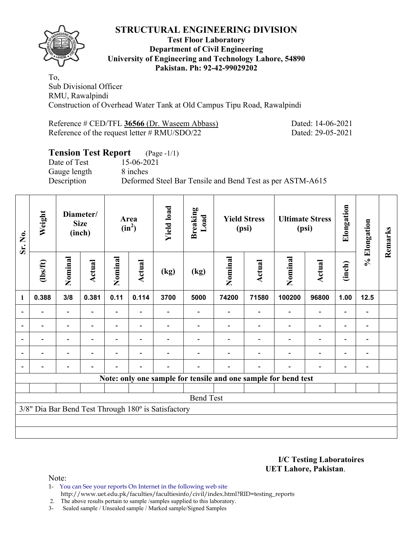

#### **Test Floor Laboratory Department of Civil Engineering University of Engineering and Technology Lahore, 54890 Pakistan. Ph: 92-42-99029202**

To, Sub Divisional Officer RMU, Rawalpindi Construction of Overhead Water Tank at Old Campus Tipu Road, Rawalpindi

Reference # CED/TFL **36566** (Dr. Waseem Abbass) Dated: 14-06-2021 Reference of the request letter # RMU/SDO/22 Dated: 29-05-2021

# **Tension Test Report** (Page -1/1)

Date of Test 15-06-2021 Gauge length 8 inches

Description Deformed Steel Bar Tensile and Bend Test as per ASTM-A615

| Sr. No. | Weight         |                          | Diameter/<br><b>Size</b><br>(inch) |                          | Area<br>$(in^2)$         | <b>Yield load</b>                                   | <b>Breaking</b><br>Load |         | <b>Yield Stress</b><br>(psi) |                                                                | <b>Ultimate Stress</b><br>(psi) | Elongation               | % Elongation   | Remarks |
|---------|----------------|--------------------------|------------------------------------|--------------------------|--------------------------|-----------------------------------------------------|-------------------------|---------|------------------------------|----------------------------------------------------------------|---------------------------------|--------------------------|----------------|---------|
|         | (1bs/ft)       | Nominal                  | Actual                             | Nominal                  | <b>Actual</b>            | (kg)                                                | (kg)                    | Nominal | Actual                       | Nominal                                                        | Actual                          | (inch)                   |                |         |
| 1       | 0.388          | 3/8                      | 0.381                              | 0.11                     | 0.114                    | 3700                                                | 5000                    | 74200   | 71580                        | 100200                                                         | 96800                           | 1.00                     | $12.5$         |         |
|         |                |                          |                                    |                          |                          |                                                     |                         |         |                              |                                                                | $\overline{\phantom{0}}$        | $\overline{a}$           |                |         |
|         |                |                          |                                    |                          |                          |                                                     |                         |         |                              |                                                                | $\overline{\phantom{0}}$        | $\overline{\phantom{0}}$ |                |         |
|         | $\blacksquare$ | $\blacksquare$           | $\blacksquare$                     |                          | $\overline{\phantom{a}}$ |                                                     |                         |         |                              | $\overline{\phantom{a}}$                                       | $\overline{\phantom{0}}$        | $\overline{\phantom{0}}$ | $\blacksquare$ |         |
|         | $\blacksquare$ | $\overline{\phantom{a}}$ |                                    | $\blacksquare$           | ۰                        |                                                     |                         |         |                              | ۰                                                              | $\overline{\phantom{0}}$        | $\overline{\phantom{a}}$ | $\blacksquare$ |         |
|         |                | $\overline{\phantom{0}}$ |                                    | $\overline{\phantom{0}}$ | $\blacksquare$           | $\blacksquare$                                      |                         |         | $\blacksquare$               |                                                                | $\overline{\phantom{0}}$        | $\overline{\phantom{0}}$ | $\blacksquare$ |         |
|         |                |                          |                                    |                          |                          |                                                     |                         |         |                              | Note: only one sample for tensile and one sample for bend test |                                 |                          |                |         |
|         |                |                          |                                    |                          |                          |                                                     |                         |         |                              |                                                                |                                 |                          |                |         |
|         |                |                          |                                    |                          |                          |                                                     | <b>Bend Test</b>        |         |                              |                                                                |                                 |                          |                |         |
|         |                |                          |                                    |                          |                          | 3/8" Dia Bar Bend Test Through 180° is Satisfactory |                         |         |                              |                                                                |                                 |                          |                |         |
|         |                |                          |                                    |                          |                          |                                                     |                         |         |                              |                                                                |                                 |                          |                |         |
|         |                |                          |                                    |                          |                          |                                                     |                         |         |                              |                                                                |                                 |                          |                |         |

**I/C Testing Laboratoires UET Lahore, Pakistan**.

Note:

1- You can See your reports On Internet in the following web site http://www.uet.edu.pk/faculties/facultiesinfo/civil/index.html?RID=testing\_reports

2. The above results pertain to sample /samples supplied to this laboratory.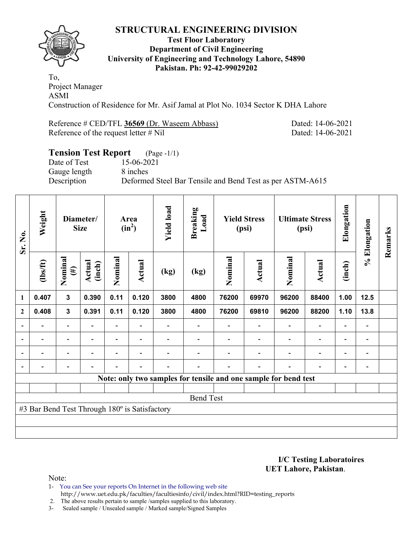

#### **Test Floor Laboratory Department of Civil Engineering University of Engineering and Technology Lahore, 54890 Pakistan. Ph: 92-42-99029202**

To, Project Manager ASMI Construction of Residence for Mr. Asif Jamal at Plot No. 1034 Sector K DHA Lahore

Reference # CED/TFL **36569** (Dr. Waseem Abbass) Dated: 14-06-2021 Reference of the request letter # Nil Dated: 14-06-2021

# **Tension Test Report** (Page -1/1) Date of Test 15-06-2021 Gauge length 8 inches Description Deformed Steel Bar Tensile and Bend Test as per ASTM-A615

| Sr. No.                  | Weight                                        |                          | Diameter/<br><b>Size</b> |                | Area<br>$(in^2)$         | <b>Yield load</b> | <b>Breaking</b><br>Load                                         |                          | <b>Yield Stress</b><br>(psi) |                          | <b>Ultimate Stress</b><br>(psi) | Elongation               | % Elongation             | Remarks |
|--------------------------|-----------------------------------------------|--------------------------|--------------------------|----------------|--------------------------|-------------------|-----------------------------------------------------------------|--------------------------|------------------------------|--------------------------|---------------------------------|--------------------------|--------------------------|---------|
|                          | $\frac{2}{10}$                                | Nominal<br>$(\#)$        | Actual<br>(inch)         | Nominal        | Actual                   | (kg)              | (kg)                                                            | Nominal                  | Actual                       | Nominal                  | <b>Actual</b>                   | (inch)                   |                          |         |
| $\mathbf{1}$             | 0.407                                         | $\mathbf{3}$             | 0.390                    | 0.11           | 0.120                    | 3800              | 4800                                                            | 76200                    | 69970                        | 96200                    | 88400                           | 1.00                     | 12.5                     |         |
| $\mathbf{2}$             | 0.408                                         | $\mathbf{3}$             | 0.391                    | 0.11           | 0.120                    | 3800              | 4800                                                            | 76200                    | 69810                        | 96200                    | 88200                           | 1.10                     | 13.8                     |         |
| $\overline{\phantom{a}}$ |                                               | $\overline{\phantom{a}}$ | $\overline{\phantom{0}}$ | $\blacksquare$ |                          |                   |                                                                 | $\overline{\phantom{a}}$ | $\overline{\phantom{a}}$     |                          | $\overline{\phantom{a}}$        | $\overline{\phantom{a}}$ | $\blacksquare$           |         |
| $\overline{\phantom{a}}$ |                                               | $\overline{\phantom{a}}$ |                          |                |                          |                   |                                                                 |                          | $\overline{\phantom{0}}$     |                          | $\overline{\phantom{a}}$        | $\overline{\phantom{0}}$ | $\overline{\phantom{a}}$ |         |
| $\overline{\phantom{a}}$ | -                                             | $\overline{\phantom{a}}$ | $\overline{\phantom{0}}$ |                | $\overline{\phantom{0}}$ |                   |                                                                 |                          | $\overline{\phantom{0}}$     |                          | $\overline{\phantom{a}}$        | $\overline{\phantom{0}}$ | $\overline{\phantom{a}}$ |         |
| $\blacksquare$           |                                               | $\overline{\phantom{0}}$ |                          |                |                          |                   |                                                                 |                          | $\overline{\phantom{0}}$     | $\overline{\phantom{0}}$ | $\overline{\phantom{a}}$        | $\overline{\phantom{0}}$ | $\overline{\phantom{a}}$ |         |
|                          |                                               |                          |                          |                |                          |                   | Note: only two samples for tensile and one sample for bend test |                          |                              |                          |                                 |                          |                          |         |
|                          |                                               |                          |                          |                |                          |                   |                                                                 |                          |                              |                          |                                 |                          |                          |         |
|                          |                                               |                          |                          |                |                          |                   | <b>Bend Test</b>                                                |                          |                              |                          |                                 |                          |                          |         |
|                          | #3 Bar Bend Test Through 180° is Satisfactory |                          |                          |                |                          |                   |                                                                 |                          |                              |                          |                                 |                          |                          |         |
|                          |                                               |                          |                          |                |                          |                   |                                                                 |                          |                              |                          |                                 |                          |                          |         |
|                          |                                               |                          |                          |                |                          |                   |                                                                 |                          |                              |                          |                                 |                          |                          |         |

**I/C Testing Laboratoires UET Lahore, Pakistan**.

Note:

- 1- You can See your reports On Internet in the following web site http://www.uet.edu.pk/faculties/facultiesinfo/civil/index.html?RID=testing\_reports
- 2. The above results pertain to sample /samples supplied to this laboratory.
- 3- Sealed sample / Unsealed sample / Marked sample/Signed Samples